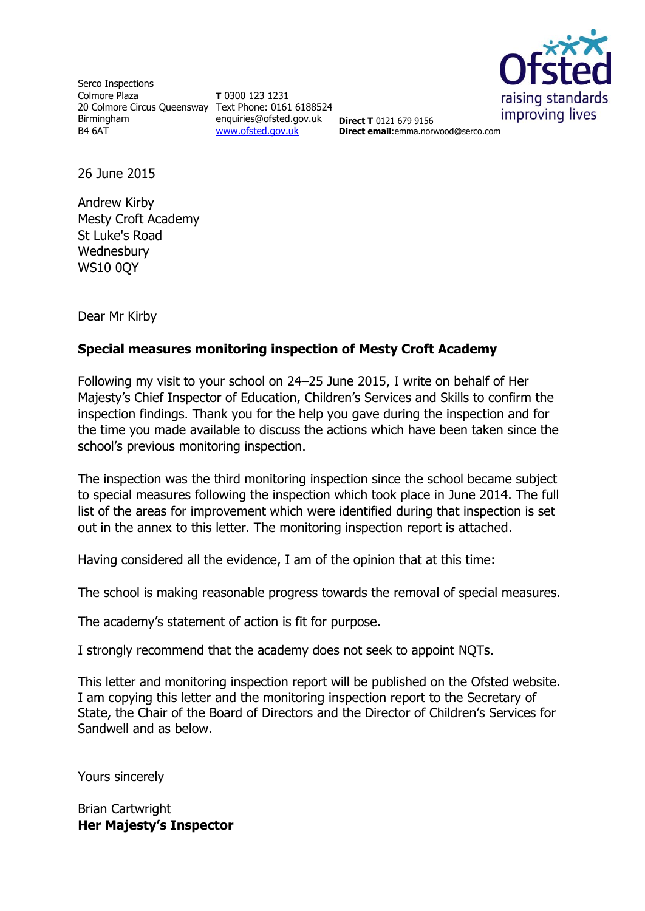

Serco Inspections Colmore Plaza 20 Colmore Circus Queensway Text Phone: 0161 6188524 Birmingham B4 6AT

**T** 0300 123 1231 enquiries@ofsted.gov.uk [www.ofsted.gov.uk](http://www.ofsted.gov.uk/)

**Direct T** 0121 679 9156 **Direct email**:emma.norwood@serco.com

26 June 2015

Andrew Kirby Mesty Croft Academy St Luke's Road **Wednesbury** WS10 0QY

Dear Mr Kirby

# **Special measures monitoring inspection of Mesty Croft Academy**

Following my visit to your school on 24–25 June 2015, I write on behalf of Her Majesty's Chief Inspector of Education, Children's Services and Skills to confirm the inspection findings. Thank you for the help you gave during the inspection and for the time you made available to discuss the actions which have been taken since the school's previous monitoring inspection.

The inspection was the third monitoring inspection since the school became subject to special measures following the inspection which took place in June 2014. The full list of the areas for improvement which were identified during that inspection is set out in the annex to this letter. The monitoring inspection report is attached.

Having considered all the evidence, I am of the opinion that at this time:

The school is making reasonable progress towards the removal of special measures.

The academy's statement of action is fit for purpose.

I strongly recommend that the academy does not seek to appoint NQTs.

This letter and monitoring inspection report will be published on the Ofsted website. I am copying this letter and the monitoring inspection report to the Secretary of State, the Chair of the Board of Directors and the Director of Children's Services for Sandwell and as below.

Yours sincerely

Brian Cartwright **Her Majesty's Inspector**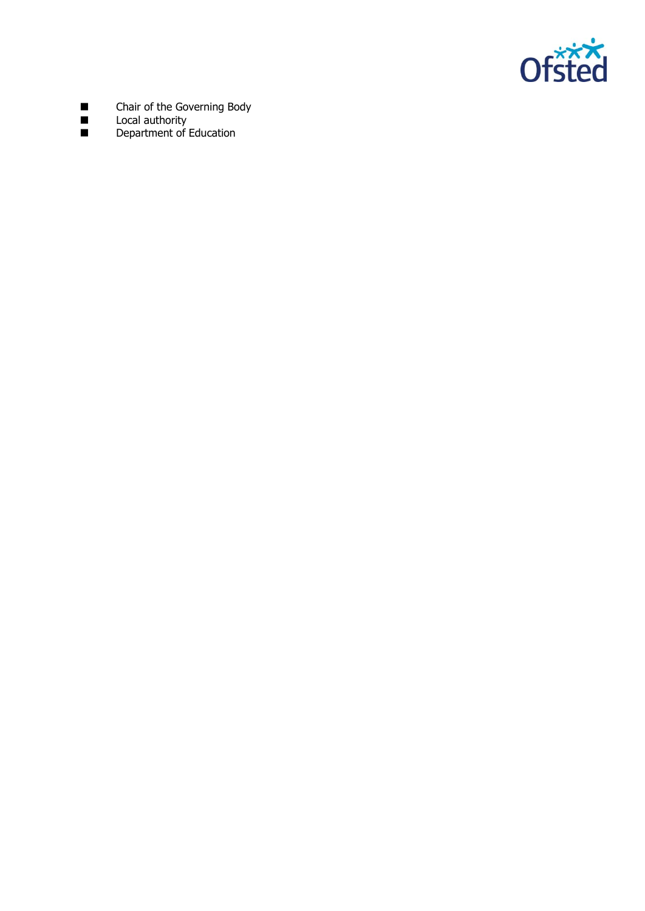

- **Example 2** Chair of the Governing Body
- **Local authority**
- **Department of Education**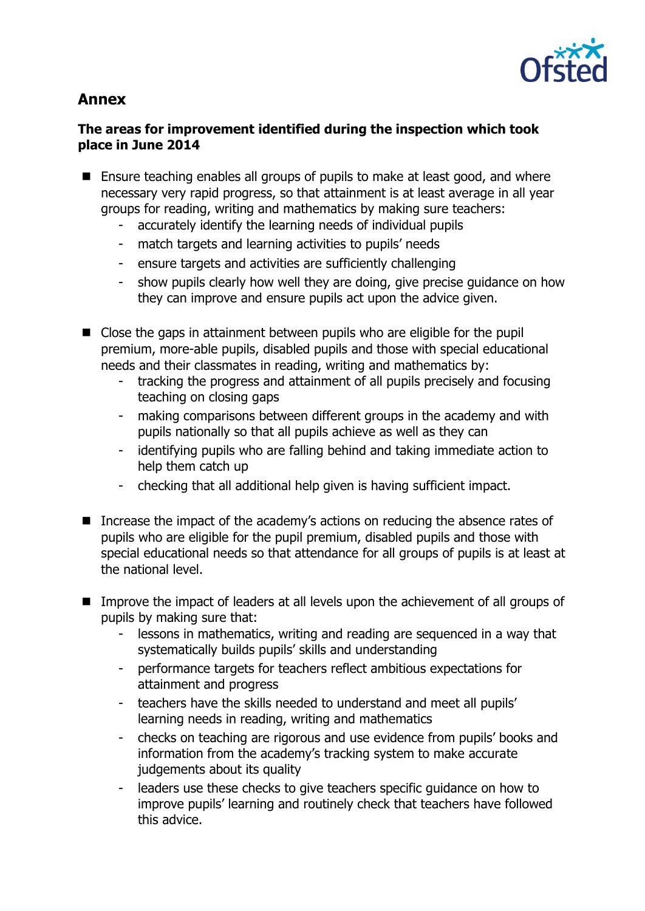

# **Annex**

# **The areas for improvement identified during the inspection which took place in June 2014**

- Ensure teaching enables all groups of pupils to make at least good, and where necessary very rapid progress, so that attainment is at least average in all year groups for reading, writing and mathematics by making sure teachers:
	- accurately identify the learning needs of individual pupils
	- match targets and learning activities to pupils' needs
	- ensure targets and activities are sufficiently challenging
	- show pupils clearly how well they are doing, give precise guidance on how they can improve and ensure pupils act upon the advice given.
- Close the gaps in attainment between pupils who are eligible for the pupil premium, more-able pupils, disabled pupils and those with special educational needs and their classmates in reading, writing and mathematics by:
	- tracking the progress and attainment of all pupils precisely and focusing teaching on closing gaps
	- making comparisons between different groups in the academy and with pupils nationally so that all pupils achieve as well as they can
	- identifying pupils who are falling behind and taking immediate action to help them catch up
	- checking that all additional help given is having sufficient impact.
- Increase the impact of the academy's actions on reducing the absence rates of pupils who are eligible for the pupil premium, disabled pupils and those with special educational needs so that attendance for all groups of pupils is at least at the national level.
- Improve the impact of leaders at all levels upon the achievement of all groups of pupils by making sure that:
	- lessons in mathematics, writing and reading are sequenced in a way that systematically builds pupils' skills and understanding
	- performance targets for teachers reflect ambitious expectations for attainment and progress
	- teachers have the skills needed to understand and meet all pupils' learning needs in reading, writing and mathematics
	- checks on teaching are rigorous and use evidence from pupils' books and information from the academy's tracking system to make accurate judgements about its quality
	- leaders use these checks to give teachers specific guidance on how to improve pupils' learning and routinely check that teachers have followed this advice.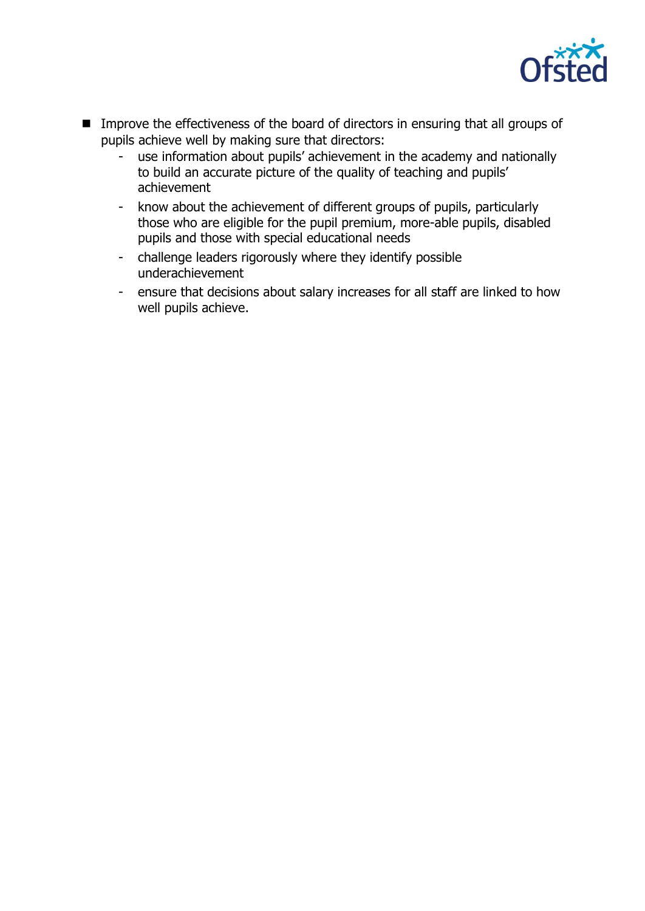

- **IMPROVE THE EFFECT INCOCES OF the board of directors in ensuring that all groups of** pupils achieve well by making sure that directors:
	- use information about pupils' achievement in the academy and nationally to build an accurate picture of the quality of teaching and pupils' achievement
	- know about the achievement of different groups of pupils, particularly those who are eligible for the pupil premium, more-able pupils, disabled pupils and those with special educational needs
	- challenge leaders rigorously where they identify possible underachievement
	- ensure that decisions about salary increases for all staff are linked to how well pupils achieve.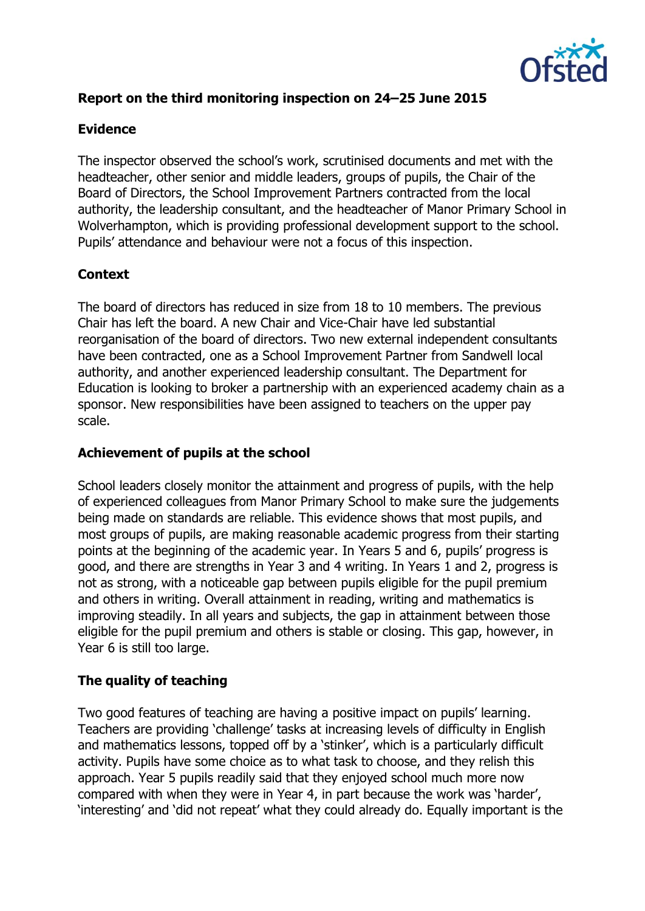

# **Report on the third monitoring inspection on 24–25 June 2015**

#### **Evidence**

The inspector observed the school's work, scrutinised documents and met with the headteacher, other senior and middle leaders, groups of pupils, the Chair of the Board of Directors, the School Improvement Partners contracted from the local authority, the leadership consultant, and the headteacher of Manor Primary School in Wolverhampton, which is providing professional development support to the school. Pupils' attendance and behaviour were not a focus of this inspection.

# **Context**

The board of directors has reduced in size from 18 to 10 members. The previous Chair has left the board. A new Chair and Vice-Chair have led substantial reorganisation of the board of directors. Two new external independent consultants have been contracted, one as a School Improvement Partner from Sandwell local authority, and another experienced leadership consultant. The Department for Education is looking to broker a partnership with an experienced academy chain as a sponsor. New responsibilities have been assigned to teachers on the upper pay scale.

# **Achievement of pupils at the school**

School leaders closely monitor the attainment and progress of pupils, with the help of experienced colleagues from Manor Primary School to make sure the judgements being made on standards are reliable. This evidence shows that most pupils, and most groups of pupils, are making reasonable academic progress from their starting points at the beginning of the academic year. In Years 5 and 6, pupils' progress is good, and there are strengths in Year 3 and 4 writing. In Years 1 and 2, progress is not as strong, with a noticeable gap between pupils eligible for the pupil premium and others in writing. Overall attainment in reading, writing and mathematics is improving steadily. In all years and subjects, the gap in attainment between those eligible for the pupil premium and others is stable or closing. This gap, however, in Year 6 is still too large.

# **The quality of teaching**

Two good features of teaching are having a positive impact on pupils' learning. Teachers are providing 'challenge' tasks at increasing levels of difficulty in English and mathematics lessons, topped off by a 'stinker', which is a particularly difficult activity. Pupils have some choice as to what task to choose, and they relish this approach. Year 5 pupils readily said that they enjoyed school much more now compared with when they were in Year 4, in part because the work was 'harder', 'interesting' and 'did not repeat' what they could already do. Equally important is the